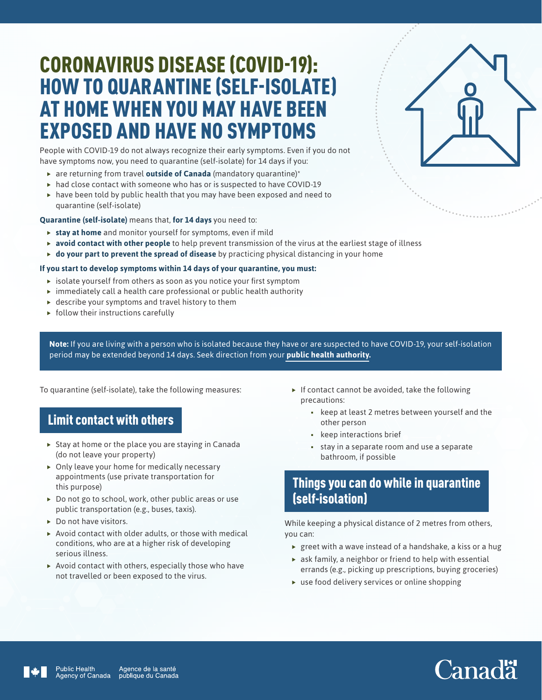## CORONAVIRUS DISEASE (COVID-19): HOW TO QUARANTINE (SELF-ISOLATE) AT HOME WHEN YOU MAY HAVE BEEN EXPOSED AND HAVE NO SYMPTOMS

People with COVID-19 do not always recognize their early symptoms. Even if you do not have symptoms now, you need to quarantine (self-isolate) for 14 days if you:

- **F** are returning from travel **outside of Canada** (mandatory quarantine)\*
- $\triangleright$  had close contact with someone who has or is suspected to have COVID-19  $\blacktriangleright$  have been told by public health that you may have been exposed and need to quarantine (self-isolate)

**Quarantine (self-isolate)** means that, **for 14 days** you need to:

- **stay at home** and monitor yourself for symptoms, even if mild
- **avoid contact with other people** to help prevent transmission of the virus at the earliest stage of illness
- $\rightarrow$  **do your part to prevent the spread of disease** by practicing physical distancing in your home

#### **If you start to develop symptoms within 14 days of your quarantine, you must:**

- $\blacktriangleright$  isolate yourself from others as soon as you notice your first symptom
- $\triangleright$  immediately call a health care professional or public health authority
- $\blacktriangleright$  describe your symptoms and travel history to them
- $\triangleright$  follow their instructions carefully

**Note:** If you are living with a person who is isolated because they have or are suspected to have COVID-19, your self-isolation period may be extended beyond 14 days. Seek direction from your **[public health authority](https://www.canada.ca/en/public-health/services/diseases/2019-novel-coronavirus-infection/symptoms/provincial-territorial-resources-covid-19.html).**

To quarantine (self-isolate), take the following measures:

#### Limit contact with others

- $\triangleright$  Stay at home or the place you are staying in Canada (do not leave your property)
- $\triangleright$  Only leave your home for medically necessary appointments (use private transportation for this purpose)
- $\triangleright$  Do not go to school, work, other public areas or use public transportation (e.g., buses, taxis).
- $\triangleright$  Do not have visitors.
- $\triangleright$  Avoid contact with older adults, or those with medical conditions, who are at a higher risk of developing serious illness.
- $\blacktriangleright$  Avoid contact with others, especially those who have not travelled or been exposed to the virus.
- $\blacktriangleright$  If contact cannot be avoided, take the following precautions:
	- keep at least 2 metres between yourself and the other person
	- keep interactions brief
	- stay in a separate room and use a separate bathroom, if possible

#### Things you can do while in quarantine (self-isolation)

While keeping a physical distance of 2 metres from others, you can:

- $\rightarrow$  greet with a wave instead of a handshake, a kiss or a hug
- $\triangleright$  ask family, a neighbor or friend to help with essential errands (e.g., picking up prescriptions, buying groceries)
- $\blacktriangleright$  use food delivery services or online shopping





# **Canadä**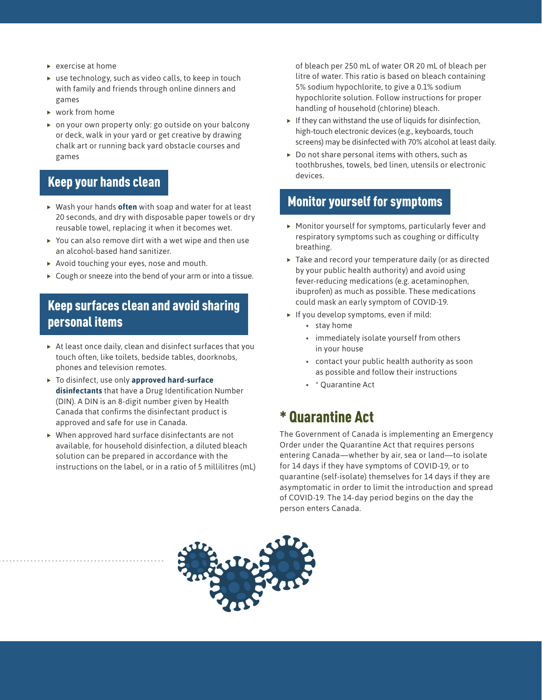- $\blacktriangleright$  exercise at home
- $\triangleright$  use technology, such as video calls, to keep in touch with family and friends through online dinners and games
- $\triangleright$  work from home
- $\triangleright$  on your own property only: go outside on your balcony or deck, walk in your yard or get creative by drawing chalk art or running back yard obstacle courses and games

#### Keep your hands clean

- ▶ Wash your hands **often** with soap and water for at least 20 seconds, and dry with disposable paper towels or dry reusable towel, replacing it when it becomes wet.
- $\triangleright$  You can also remove dirt with a wet wipe and then use an alcohol-based hand sanitizer.
- $\triangleright$  Avoid touching your eyes, nose and mouth.
- $\triangleright$  Cough or sneeze into the bend of your arm or into a tissue.

#### Keep surfaces clean and avoid sharing personal items

- $\triangleright$  At least once daily, clean and disinfect surfaces that you touch often, like toilets, bedside tables, doorknobs, phones and television remotes.
- $\triangleright$  To disinfect, use only **approved hard-surface disinfectants** that have a Drug Identification Number (DIN). A DIN is an 8-digit number given by Health Canada that confirms the disinfectant product is approved and safe for use in Canada.
- $\blacktriangleright$  When approved hard surface disinfectants are not available, for household disinfection, a diluted bleach solution can be prepared in accordance with the instructions on the label, or in a ratio of 5 millilitres (mL)

of bleach per 250 mL of water OR 20 mL of bleach per litre of water. This ratio is based on bleach containing 5% sodium hypochlorite, to give a 0.1% sodium hypochlorite solution. Follow instructions for proper handling of household (chlorine) bleach.

- $\blacktriangleright$  If they can withstand the use of liquids for disinfection, high-touch electronic devices (e.g., keyboards, touch screens) may be disinfected with 70% alcohol at least daily.
- $\triangleright$  Do not share personal items with others, such as toothbrushes, towels, bed linen, utensils or electronic devices.

#### Monitor yourself for symptoms

- $\blacktriangleright$  Monitor yourself for symptoms, particularly fever and respiratory symptoms such as coughing or difficulty breathing.
- $\blacktriangleright$  Take and record your temperature daily (or as directed by your public health authority) and avoid using fever-reducing medications (e.g. acetaminophen, ibuprofen) as much as possible. These medications could mask an early symptom of COVID-19.
- $\blacktriangleright$  If you develop symptoms, even if mild:
	- stay home
	- **immediately isolate yourself from others** in your house
	- contact your public health authority as soon as possible and follow their instructions
	- \* Quarantine Act

## \* Quarantine Act

The Government of Canada is implementing an Emergency Order under the Quarantine Act that requires persons entering Canada—whether by air, sea or land—to isolate for 14 days if they have symptoms of COVID-19, or to quarantine (self-isolate) themselves for 14 days if they are asymptomatic in order to limit the introduction and spread of COVID-19. The 14-day period begins on the day the person enters Canada.